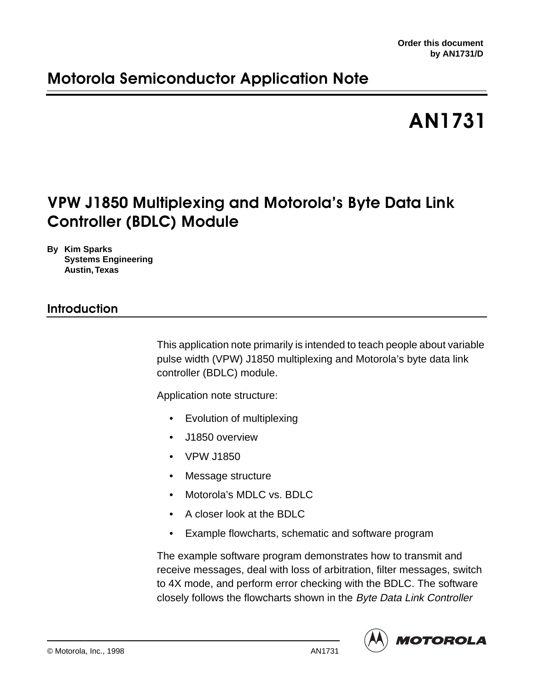# Motorola Semiconductor Application Note

# AN1731

# VPW J1850 Multiplexing and Motorola's Byte Data Link Controller (BDLC) Module

**By Kim Sparks Systems Engineering Austin, Texas**

### **Introduction**

This application note primarily is intended to teach people about variable pulse width (VPW) J1850 multiplexing and Motorola's byte data link controller (BDLC) module.

Application note structure:

- Evolution of multiplexing
- J1850 overview
- VPW J1850
- Message structure
- Motorola's MDLC vs. BDLC
- A closer look at the BDLC
- Example flowcharts, schematic and software program

The example software program demonstrates how to transmit and receive messages, deal with loss of arbitration, filter messages, switch to 4X mode, and perform error checking with the BDLC. The software closely follows the flowcharts shown in the Byte Data Link Controller

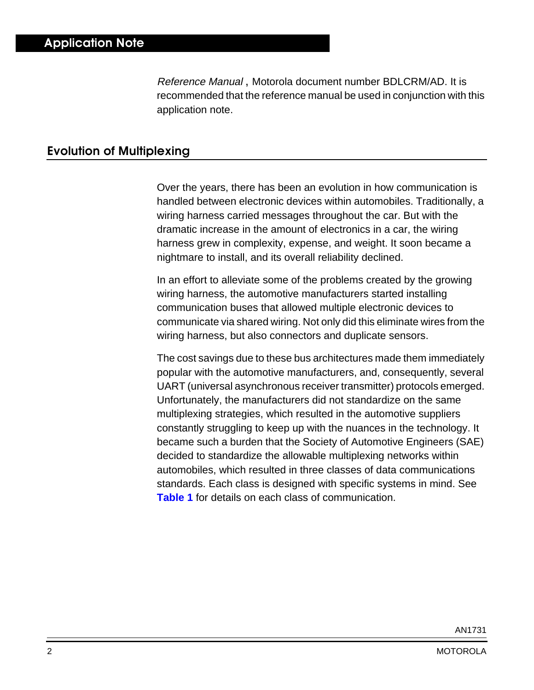Reference Manual , Motorola document number BDLCRM/AD. It is recommended that the reference manual be used in conjunction with this application note.

#### Evolution of Multiplexing

Over the years, there has been an evolution in how communication is handled between electronic devices within automobiles. Traditionally, a wiring harness carried messages throughout the car. But with the dramatic increase in the amount of electronics in a car, the wiring harness grew in complexity, expense, and weight. It soon became a nightmare to install, and its overall reliability declined.

In an effort to alleviate some of the problems created by the growing wiring harness, the automotive manufacturers started installing communication buses that allowed multiple electronic devices to communicate via shared wiring. Not only did this eliminate wires from the wiring harness, but also connectors and duplicate sensors.

The cost savings due to these bus architectures made them immediately popular with the automotive manufacturers, and, consequently, several UART (universal asynchronous receiver transmitter) protocols emerged. Unfortunately, the manufacturers did not standardize on the same multiplexing strategies, which resulted in the automotive suppliers constantly struggling to keep up with the nuances in the technology. It became such a burden that the Society of Automotive Engineers (SAE) decided to standardize the allowable multiplexing networks within automobiles, which resulted in three classes of data communications standards. Each class is designed with specific systems in mind. See **[Table 1](#page-2-0)** for details on each class of communication.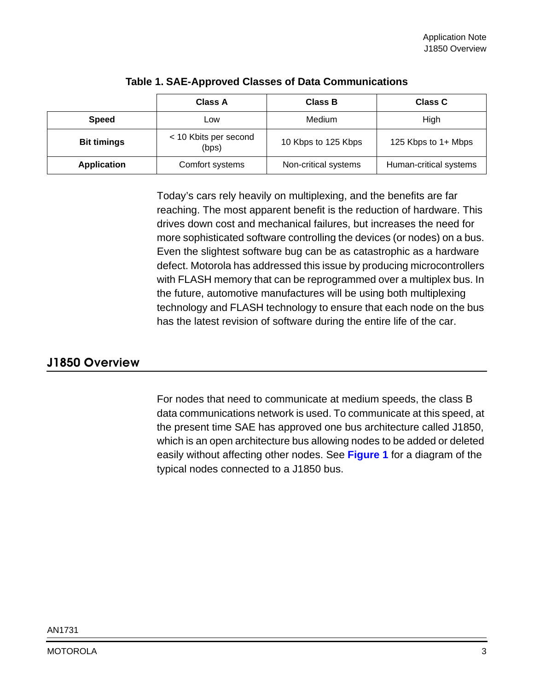<span id="page-2-0"></span>

|                                       | <b>Class A</b>                 | <b>Class B</b>       | <b>Class C</b>         |  |
|---------------------------------------|--------------------------------|----------------------|------------------------|--|
| <b>Speed</b>                          | Low                            | <b>Medium</b>        | High                   |  |
| <b>Bit timings</b>                    | < 10 Kbits per second<br>(bps) | 10 Kbps to 125 Kbps  | 125 Kbps to 1+ Mbps    |  |
| Comfort systems<br><b>Application</b> |                                | Non-critical systems | Human-critical systems |  |

**Table 1. SAE-Approved Classes of Data Communications**

Today's cars rely heavily on multiplexing, and the benefits are far reaching. The most apparent benefit is the reduction of hardware. This drives down cost and mechanical failures, but increases the need for more sophisticated software controlling the devices (or nodes) on a bus. Even the slightest software bug can be as catastrophic as a hardware defect. Motorola has addressed this issue by producing microcontrollers with FLASH memory that can be reprogrammed over a multiplex bus. In the future, automotive manufactures will be using both multiplexing technology and FLASH technology to ensure that each node on the bus has the latest revision of software during the entire life of the car.

### J1850 Overview

For nodes that need to communicate at medium speeds, the class B data communications network is used. To communicate at this speed, at the present time SAE has approved one bus architecture called J1850, which is an open architecture bus allowing nodes to be added or deleted easily without affecting other nodes. See **[Figure 1](#page-3-0)** for a diagram of the typical nodes connected to a J1850 bus.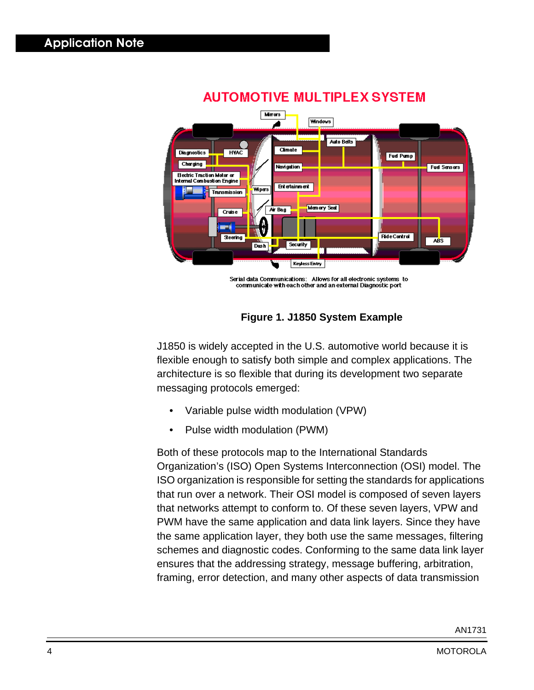<span id="page-3-0"></span>

### **AUTOMOTIVE MULTIPLEX SYSTEM**

Serial data Communications: Allows for all electronic systems to communicate with each other and an external Diagnostic port

#### **Figure 1. J1850 System Example**

J1850 is widely accepted in the U.S. automotive world because it is flexible enough to satisfy both simple and complex applications. The architecture is so flexible that during its development two separate messaging protocols emerged:

- Variable pulse width modulation (VPW)
- Pulse width modulation (PWM)

Both of these protocols map to the International Standards Organization's (ISO) Open Systems Interconnection (OSI) model. The ISO organization is responsible for setting the standards for applications that run over a network. Their OSI model is composed of seven layers that networks attempt to conform to. Of these seven layers, VPW and PWM have the same application and data link layers. Since they have the same application layer, they both use the same messages, filtering schemes and diagnostic codes. Conforming to the same data link layer ensures that the addressing strategy, message buffering, arbitration, framing, error detection, and many other aspects of data transmission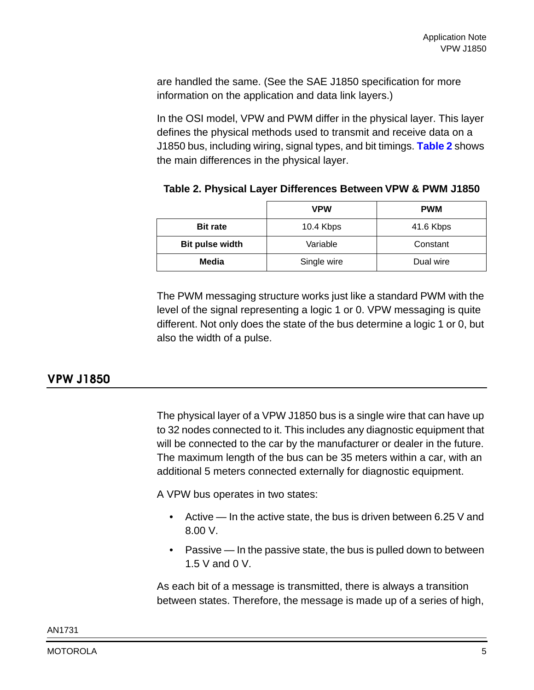are handled the same. (See the SAE J1850 specification for more information on the application and data link layers.)

In the OSI model, VPW and PWM differ in the physical layer. This layer defines the physical methods used to transmit and receive data on a J1850 bus, including wiring, signal types, and bit timings. **Table 2** shows the main differences in the physical layer.

|                 | <b>VPW</b>  | <b>PWM</b> |
|-----------------|-------------|------------|
| <b>Bit rate</b> | 10.4 Kbps   | 41.6 Kbps  |
| Bit pulse width | Variable    | Constant   |
| Media           | Single wire | Dual wire  |

**Table 2. Physical Layer Differences Between VPW & PWM J1850**

The PWM messaging structure works just like a standard PWM with the level of the signal representing a logic 1 or 0. VPW messaging is quite different. Not only does the state of the bus determine a logic 1 or 0, but also the width of a pulse.

### VPW J1850

The physical layer of a VPW J1850 bus is a single wire that can have up to 32 nodes connected to it. This includes any diagnostic equipment that will be connected to the car by the manufacturer or dealer in the future. The maximum length of the bus can be 35 meters within a car, with an additional 5 meters connected externally for diagnostic equipment.

A VPW bus operates in two states:

- Active In the active state, the bus is driven between 6.25 V and 8.00 V.
- Passive In the passive state, the bus is pulled down to between 1.5 V and 0 V.

As each bit of a message is transmitted, there is always a transition between states. Therefore, the message is made up of a series of high,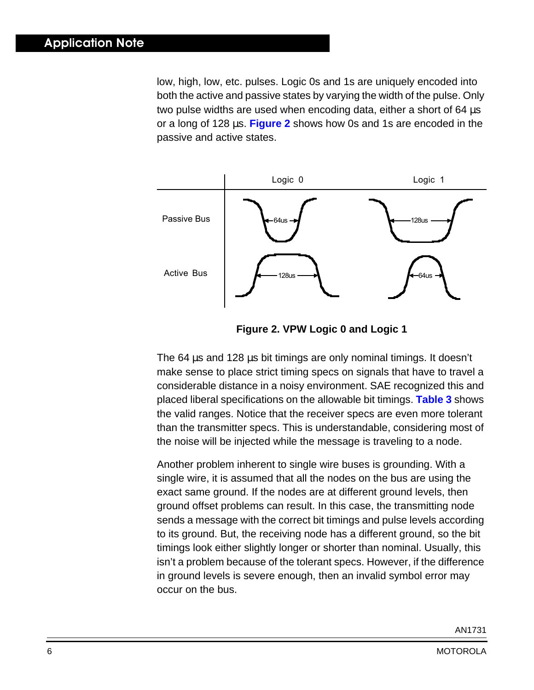low, high, low, etc. pulses. Logic 0s and 1s are uniquely encoded into both the active and passive states by varying the width of the pulse. Only two pulse widths are used when encoding data, either a short of 64 µs or a long of 128 µs. **Figure 2** shows how 0s and 1s are encoded in the passive and active states.



**Figure 2. VPW Logic 0 and Logic 1**

The 64  $\mu$ s and 128  $\mu$ s bit timings are only nominal timings. It doesn't make sense to place strict timing specs on signals that have to travel a considerable distance in a noisy environment. SAE recognized this and placed liberal specifications on the allowable bit timings. **[Table 3](#page-6-0)** shows the valid ranges. Notice that the receiver specs are even more tolerant than the transmitter specs. This is understandable, considering most of the noise will be injected while the message is traveling to a node.

Another problem inherent to single wire buses is grounding. With a single wire, it is assumed that all the nodes on the bus are using the exact same ground. If the nodes are at different ground levels, then ground offset problems can result. In this case, the transmitting node sends a message with the correct bit timings and pulse levels according to its ground. But, the receiving node has a different ground, so the bit timings look either slightly longer or shorter than nominal. Usually, this isn't a problem because of the tolerant specs. However, if the difference in ground levels is severe enough, then an invalid symbol error may occur on the bus.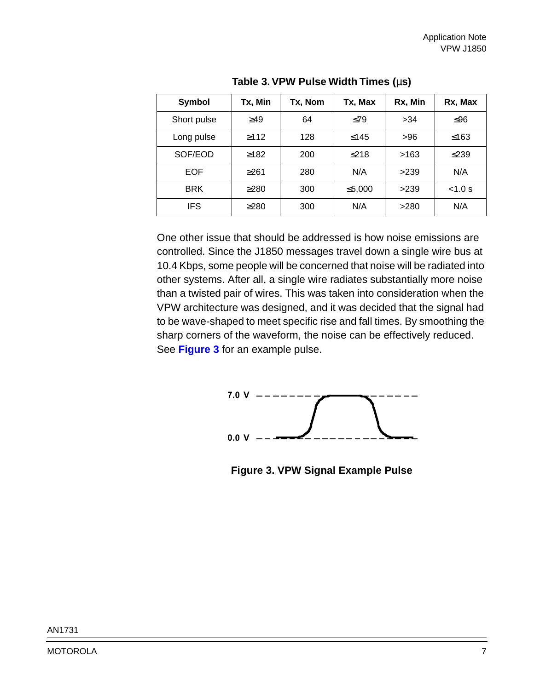<span id="page-6-0"></span>

| Symbol      | Tx, Min    | Tx, Nom | Tx, Max    | Rx, Min | Rx, Max    |
|-------------|------------|---------|------------|---------|------------|
| Short pulse | $\geq$ 49  | 64      | $\leq 79$  | >34     | ≤96        |
| Long pulse  | $\geq$ 112 | 128     | ≤145       | >96     | $≤163$     |
| SOF/EOD     | $\geq$ 182 | 200     | $\leq$ 218 | >163    | $\leq$ 239 |
| <b>EOF</b>  | $\geq 261$ | 280     | N/A        | >239    | N/A        |
| <b>BRK</b>  | $\geq$ 280 | 300     | ≤5,000     | >239    | $< 1.0$ s  |
| <b>IFS</b>  | $\geq$ 280 | 300     | N/A        | >280    | N/A        |

**Table 3. VPW Pulse Width Times (**µ**s)**

One other issue that should be addressed is how noise emissions are controlled. Since the J1850 messages travel down a single wire bus at 10.4 Kbps, some people will be concerned that noise will be radiated into other systems. After all, a single wire radiates substantially more noise than a twisted pair of wires. This was taken into consideration when the VPW architecture was designed, and it was decided that the signal had to be wave-shaped to meet specific rise and fall times. By smoothing the sharp corners of the waveform, the noise can be effectively reduced. See **Figure 3** for an example pulse.



**Figure 3. VPW Signal Example Pulse**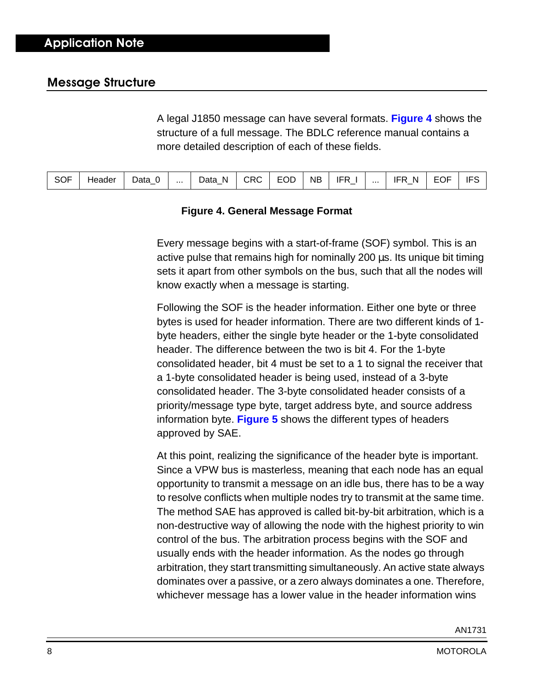### Message Structure

A legal J1850 message can have several formats. **Figure 4** shows the structure of a full message. The BDLC reference manual contains a more detailed description of each of these fields.

| SOF | Header | Data | $\cdots$ | Data<br>N | CRC | FOD<br>-<br>____ | <b>NB</b> | IER |  | N<br>'⊢ | .<br>$\sim$ |  |
|-----|--------|------|----------|-----------|-----|------------------|-----------|-----|--|---------|-------------|--|
|-----|--------|------|----------|-----------|-----|------------------|-----------|-----|--|---------|-------------|--|

#### **Figure 4. General Message Format**

Every message begins with a start-of-frame (SOF) symbol. This is an active pulse that remains high for nominally 200 µs. Its unique bit timing sets it apart from other symbols on the bus, such that all the nodes will know exactly when a message is starting.

Following the SOF is the header information. Either one byte or three bytes is used for header information. There are two different kinds of 1 byte headers, either the single byte header or the 1-byte consolidated header. The difference between the two is bit 4. For the 1-byte consolidated header, bit 4 must be set to a 1 to signal the receiver that a 1-byte consolidated header is being used, instead of a 3-byte consolidated header. The 3-byte consolidated header consists of a priority/message type byte, target address byte, and source address information byte. **[Figure 5](#page-8-0)** shows the different types of headers approved by SAE.

At this point, realizing the significance of the header byte is important. Since a VPW bus is masterless, meaning that each node has an equal opportunity to transmit a message on an idle bus, there has to be a way to resolve conflicts when multiple nodes try to transmit at the same time. The method SAE has approved is called bit-by-bit arbitration, which is a non-destructive way of allowing the node with the highest priority to win control of the bus. The arbitration process begins with the SOF and usually ends with the header information. As the nodes go through arbitration, they start transmitting simultaneously. An active state always dominates over a passive, or a zero always dominates a one. Therefore, whichever message has a lower value in the header information wins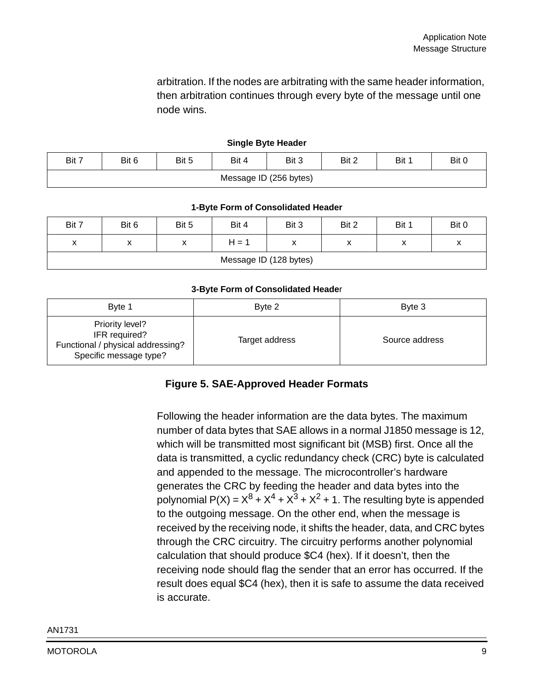arbitration. If the nodes are arbitrating with the same header information, then arbitration continues through every byte of the message until one node wins.

#### **Single Byte Header**

<span id="page-8-0"></span>

| Bit 7                  | Bit 6 | Bit 5 | Bit 4 | Bit 3 | Bit 2 | Bit 1 | Bit 0 |
|------------------------|-------|-------|-------|-------|-------|-------|-------|
| Message ID (256 bytes) |       |       |       |       |       |       |       |

#### **1-Byte Form of Consolidated Header**

| Bit 7                  | Bit 6     | Bit 5                     | Bit 4   | Bit 3 | Bit 2             | Bit 1                | Bit 0 |
|------------------------|-----------|---------------------------|---------|-------|-------------------|----------------------|-------|
| $\pmb{\mathsf{X}}$     | $\lambda$ | $\checkmark$<br>$\lambda$ | $H = 1$ | X     | $\checkmark$<br>ᆺ | $\cdot$<br>$\lambda$ | X     |
| Message ID (128 bytes) |           |                           |         |       |                   |                      |       |

#### **3-Byte Form of Consolidated Heade**r

| Byte 1                                                                                          | Byte 2         | Byte 3         |
|-------------------------------------------------------------------------------------------------|----------------|----------------|
| Priority level?<br>IFR required?<br>Functional / physical addressing?<br>Specific message type? | Target address | Source address |

#### **Figure 5. SAE-Approved Header Formats**

Following the header information are the data bytes. The maximum number of data bytes that SAE allows in a normal J1850 message is 12, which will be transmitted most significant bit (MSB) first. Once all the data is transmitted, a cyclic redundancy check (CRC) byte is calculated and appended to the message. The microcontroller's hardware generates the CRC by feeding the header and data bytes into the polynomial  $P(X) = X^8 + X^4 + X^3 + X^2 + 1$ . The resulting byte is appended to the outgoing message. On the other end, when the message is received by the receiving node, it shifts the header, data, and CRC bytes through the CRC circuitry. The circuitry performs another polynomial calculation that should produce \$C4 (hex). If it doesn't, then the receiving node should flag the sender that an error has occurred. If the result does equal \$C4 (hex), then it is safe to assume the data received is accurate.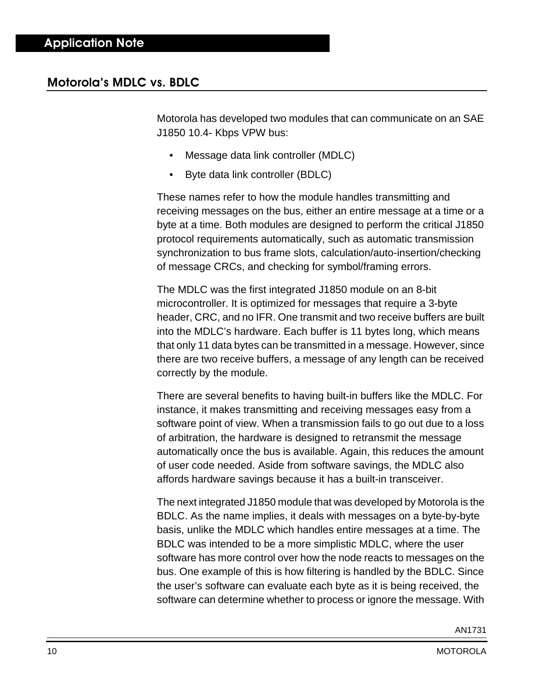### Motorola's MDLC vs. BDLC

Motorola has developed two modules that can communicate on an SAE J1850 10.4- Kbps VPW bus:

- Message data link controller (MDLC)
- Byte data link controller (BDLC)

These names refer to how the module handles transmitting and receiving messages on the bus, either an entire message at a time or a byte at a time. Both modules are designed to perform the critical J1850 protocol requirements automatically, such as automatic transmission synchronization to bus frame slots, calculation/auto-insertion/checking of message CRCs, and checking for symbol/framing errors.

The MDLC was the first integrated J1850 module on an 8-bit microcontroller. It is optimized for messages that require a 3-byte header, CRC, and no IFR. One transmit and two receive buffers are built into the MDLC's hardware. Each buffer is 11 bytes long, which means that only 11 data bytes can be transmitted in a message. However, since there are two receive buffers, a message of any length can be received correctly by the module.

There are several benefits to having built-in buffers like the MDLC. For instance, it makes transmitting and receiving messages easy from a software point of view. When a transmission fails to go out due to a loss of arbitration, the hardware is designed to retransmit the message automatically once the bus is available. Again, this reduces the amount of user code needed. Aside from software savings, the MDLC also affords hardware savings because it has a built-in transceiver.

The next integrated J1850 module that was developed by Motorola is the BDLC. As the name implies, it deals with messages on a byte-by-byte basis, unlike the MDLC which handles entire messages at a time. The BDLC was intended to be a more simplistic MDLC, where the user software has more control over how the node reacts to messages on the bus. One example of this is how filtering is handled by the BDLC. Since the user's software can evaluate each byte as it is being received, the software can determine whether to process or ignore the message. With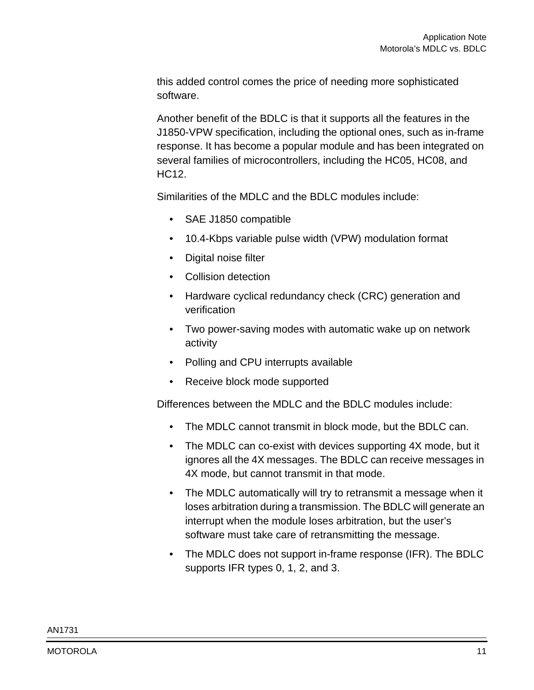this added control comes the price of needing more sophisticated software.

Another benefit of the BDLC is that it supports all the features in the J1850-VPW specification, including the optional ones, such as in-frame response. It has become a popular module and has been integrated on several families of microcontrollers, including the HC05, HC08, and HC12.

Similarities of the MDLC and the BDLC modules include:

- SAE J1850 compatible
- 10.4-Kbps variable pulse width (VPW) modulation format
- Digital noise filter
- Collision detection
- Hardware cyclical redundancy check (CRC) generation and verification
- Two power-saving modes with automatic wake up on network activity
- Polling and CPU interrupts available
- Receive block mode supported

Differences between the MDLC and the BDLC modules include:

- The MDLC cannot transmit in block mode, but the BDLC can.
- The MDLC can co-exist with devices supporting 4X mode, but it ignores all the 4X messages. The BDLC can receive messages in 4X mode, but cannot transmit in that mode.
- The MDLC automatically will try to retransmit a message when it loses arbitration during a transmission. The BDLC will generate an interrupt when the module loses arbitration, but the user's software must take care of retransmitting the message.
- The MDLC does not support in-frame response (IFR). The BDLC supports IFR types 0, 1, 2, and 3.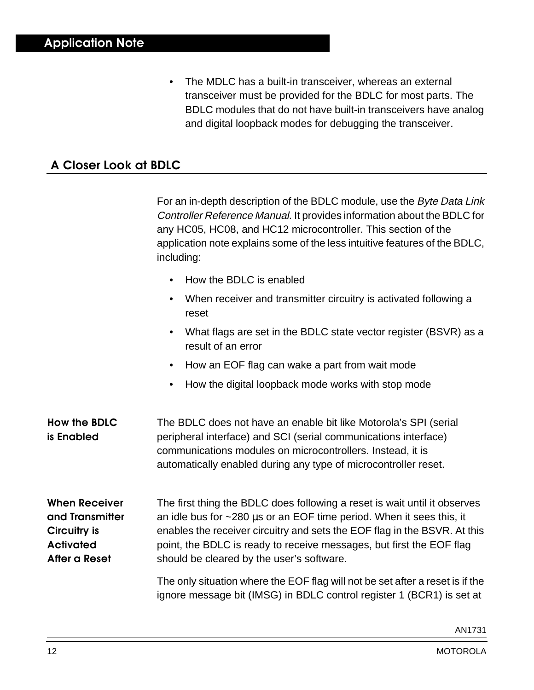• The MDLC has a built-in transceiver, whereas an external transceiver must be provided for the BDLC for most parts. The BDLC modules that do not have built-in transceivers have analog and digital loopback modes for debugging the transceiver.

### A Closer Look at BDLC

|                                                                                              | For an in-depth description of the BDLC module, use the Byte Data Link<br>Controller Reference Manual. It provides information about the BDLC for<br>any HC05, HC08, and HC12 microcontroller. This section of the<br>application note explains some of the less intuitive features of the BDLC,<br>including:                                                 |
|----------------------------------------------------------------------------------------------|----------------------------------------------------------------------------------------------------------------------------------------------------------------------------------------------------------------------------------------------------------------------------------------------------------------------------------------------------------------|
|                                                                                              | How the BDLC is enabled                                                                                                                                                                                                                                                                                                                                        |
|                                                                                              | When receiver and transmitter circuitry is activated following a<br>reset                                                                                                                                                                                                                                                                                      |
|                                                                                              | What flags are set in the BDLC state vector register (BSVR) as a<br>result of an error                                                                                                                                                                                                                                                                         |
|                                                                                              | How an EOF flag can wake a part from wait mode<br>$\bullet$                                                                                                                                                                                                                                                                                                    |
|                                                                                              | How the digital loopback mode works with stop mode<br>$\bullet$                                                                                                                                                                                                                                                                                                |
| <b>How the BDLC</b><br>is Enabled                                                            | The BDLC does not have an enable bit like Motorola's SPI (serial<br>peripheral interface) and SCI (serial communications interface)<br>communications modules on microcontrollers. Instead, it is<br>automatically enabled during any type of microcontroller reset.                                                                                           |
| <b>When Receiver</b><br>and Transmitter<br>Circuitry is<br><b>Activated</b><br>After a Reset | The first thing the BDLC does following a reset is wait until it observes<br>an idle bus for $\sim$ 280 $\mu$ s or an EOF time period. When it sees this, it<br>enables the receiver circuitry and sets the EOF flag in the BSVR. At this<br>point, the BDLC is ready to receive messages, but first the EOF flag<br>should be cleared by the user's software. |
|                                                                                              | The only situation where the EOF flag will not be set after a reset is if the<br>ignore message bit (IMSG) in BDLC control register 1 (BCR1) is set at                                                                                                                                                                                                         |
|                                                                                              |                                                                                                                                                                                                                                                                                                                                                                |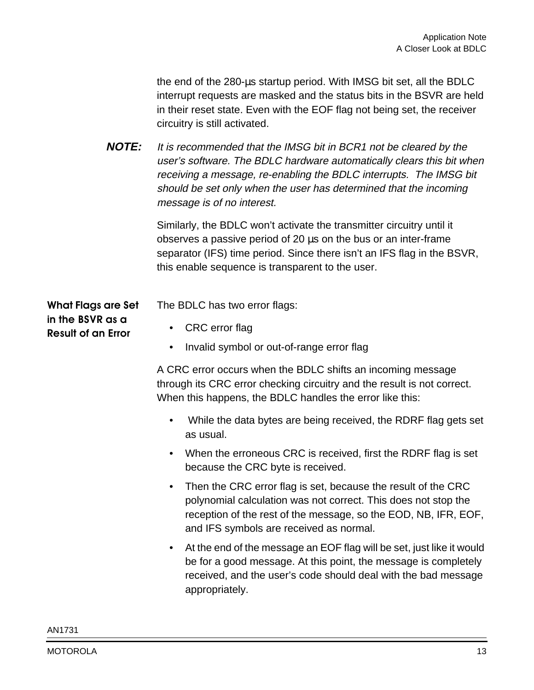the end of the 280-µs startup period. With IMSG bit set, all the BDLC interrupt requests are masked and the status bits in the BSVR are held in their reset state. Even with the EOF flag not being set, the receiver circuitry is still activated.

**NOTE:** It is recommended that the IMSG bit in BCR1 not be cleared by the user's software. The BDLC hardware automatically clears this bit when receiving a message, re-enabling the BDLC interrupts. The IMSG bit should be set only when the user has determined that the incoming message is of no interest.

> Similarly, the BDLC won't activate the transmitter circuitry until it observes a passive period of 20 µs on the bus or an inter-frame separator (IFS) time period. Since there isn't an IFS flag in the BSVR, this enable sequence is transparent to the user.

What Flags are Set in the BSVR as a Result of an Error The BDLC has two error flags: • CRC error flag

• Invalid symbol or out-of-range error flag

A CRC error occurs when the BDLC shifts an incoming message through its CRC error checking circuitry and the result is not correct. When this happens, the BDLC handles the error like this:

- While the data bytes are being received, the RDRF flag gets set as usual.
- When the erroneous CRC is received, first the RDRF flag is set because the CRC byte is received.
- Then the CRC error flag is set, because the result of the CRC polynomial calculation was not correct. This does not stop the reception of the rest of the message, so the EOD, NB, IFR, EOF, and IFS symbols are received as normal.
- At the end of the message an EOF flag will be set, just like it would be for a good message. At this point, the message is completely received, and the user's code should deal with the bad message appropriately.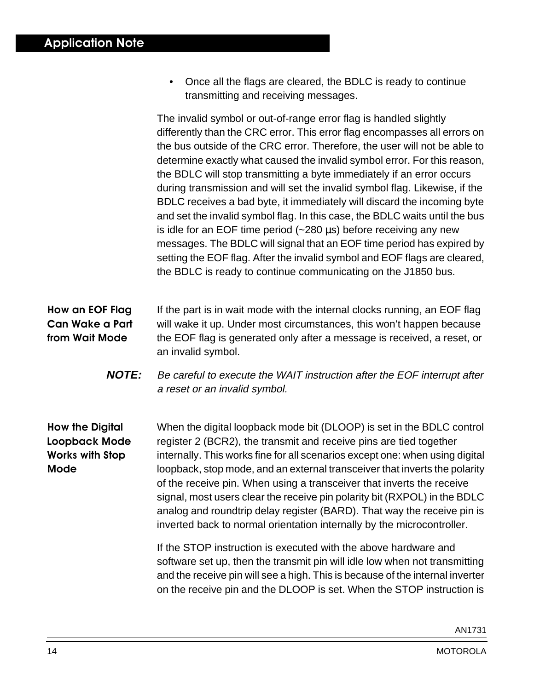| Once all the flags are cleared, the BDLC is ready to continue |
|---------------------------------------------------------------|
| transmitting and receiving messages.                          |

The invalid symbol or out-of-range error flag is handled slightly differently than the CRC error. This error flag encompasses all errors on the bus outside of the CRC error. Therefore, the user will not be able to determine exactly what caused the invalid symbol error. For this reason, the BDLC will stop transmitting a byte immediately if an error occurs during transmission and will set the invalid symbol flag. Likewise, if the BDLC receives a bad byte, it immediately will discard the incoming byte and set the invalid symbol flag. In this case, the BDLC waits until the bus is idle for an EOF time period (~280 µs) before receiving any new messages. The BDLC will signal that an EOF time period has expired by setting the EOF flag. After the invalid symbol and EOF flags are cleared, the BDLC is ready to continue communicating on the J1850 bus.

| How an EOF Flag | If the part is in wait mode with the internal clocks running, an EOF flag |
|-----------------|---------------------------------------------------------------------------|
| Can Wake a Part | will wake it up. Under most circumstances, this won't happen because      |
| from Wait Mode  | the EOF flag is generated only after a message is received, a reset, or   |
|                 | an invalid symbol.                                                        |

**NOTE:** Be careful to execute the WAIT instruction after the EOF interrupt after a reset or an invalid symbol.

How the Digital Loopback Mode Works with Stop Mode

When the digital loopback mode bit (DLOOP) is set in the BDLC control register 2 (BCR2), the transmit and receive pins are tied together internally. This works fine for all scenarios except one: when using digital loopback, stop mode, and an external transceiver that inverts the polarity of the receive pin. When using a transceiver that inverts the receive signal, most users clear the receive pin polarity bit (RXPOL) in the BDLC analog and roundtrip delay register (BARD). That way the receive pin is inverted back to normal orientation internally by the microcontroller.

If the STOP instruction is executed with the above hardware and software set up, then the transmit pin will idle low when not transmitting and the receive pin will see a high. This is because of the internal inverter on the receive pin and the DLOOP is set. When the STOP instruction is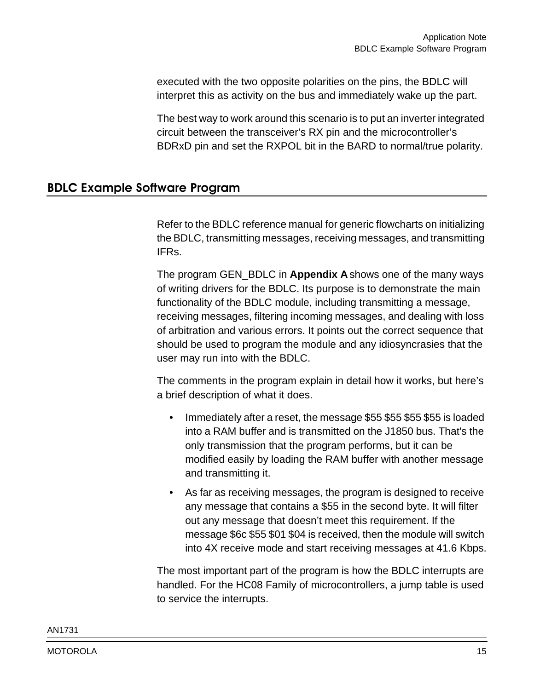executed with the two opposite polarities on the pins, the BDLC will interpret this as activity on the bus and immediately wake up the part.

The best way to work around this scenario is to put an inverter integrated circuit between the transceiver's RX pin and the microcontroller's BDRxD pin and set the RXPOL bit in the BARD to normal/true polarity.

### BDLC Example Software Program

Refer to the BDLC reference manual for generic flowcharts on initializing the BDLC, transmitting messages, receiving messages, and transmitting IFRs.

The program GEN\_BDLC in **Appendix A** shows one of the many ways of writing drivers for the BDLC. Its purpose is to demonstrate the main functionality of the BDLC module, including transmitting a message, receiving messages, filtering incoming messages, and dealing with loss of arbitration and various errors. It points out the correct sequence that should be used to program the module and any idiosyncrasies that the user may run into with the BDLC.

The comments in the program explain in detail how it works, but here's a brief description of what it does.

- Immediately after a reset, the message \$55 \$55 \$55 \$55 is loaded into a RAM buffer and is transmitted on the J1850 bus. That's the only transmission that the program performs, but it can be modified easily by loading the RAM buffer with another message and transmitting it.
- As far as receiving messages, the program is designed to receive any message that contains a \$55 in the second byte. It will filter out any message that doesn't meet this requirement. If the message \$6c \$55 \$01 \$04 is received, then the module will switch into 4X receive mode and start receiving messages at 41.6 Kbps.

The most important part of the program is how the BDLC interrupts are handled. For the HC08 Family of microcontrollers, a jump table is used to service the interrupts.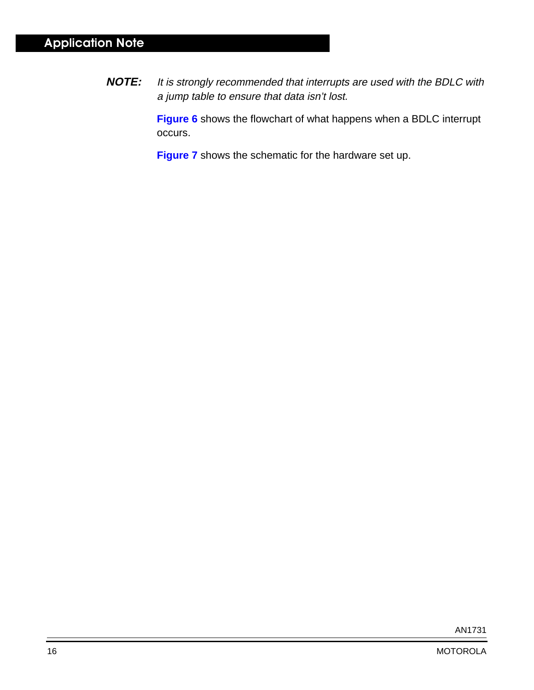**NOTE:** It is strongly recommended that interrupts are used with the BDLC with a jump table to ensure that data isn't lost.

> **[Figure 6](#page-16-0)** shows the flowchart of what happens when a BDLC interrupt occurs.

**[Figure 7](#page-19-0)** shows the schematic for the hardware set up.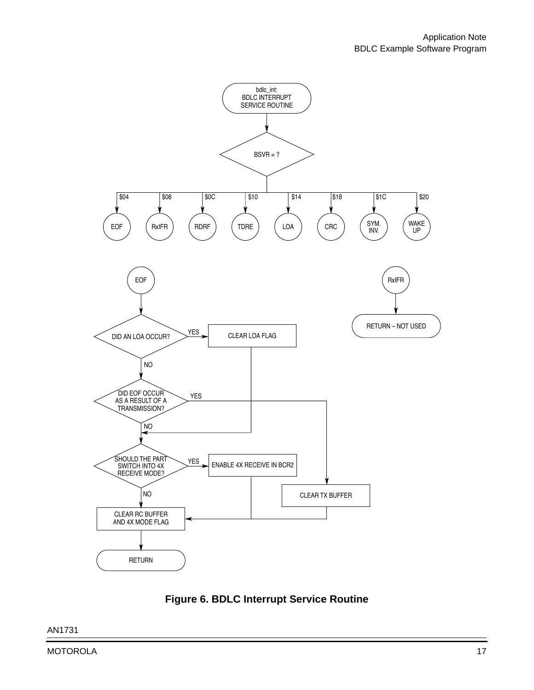<span id="page-16-0"></span>

**Figure 6. BDLC Interrupt Service Routine**

AN1731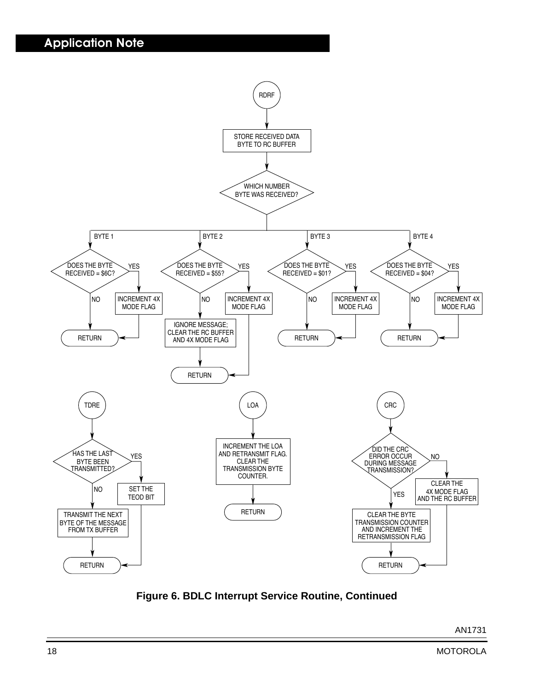

**Figure 6. BDLC Interrupt Service Routine, Continued**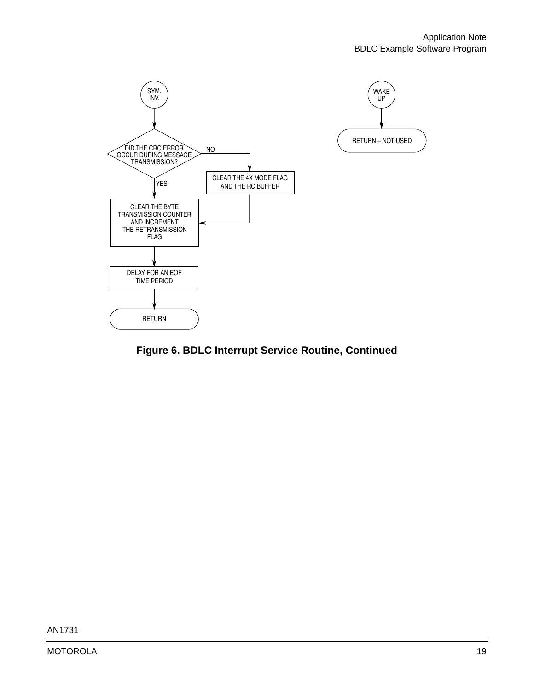

#### **Figure 6. BDLC Interrupt Service Routine, Continued**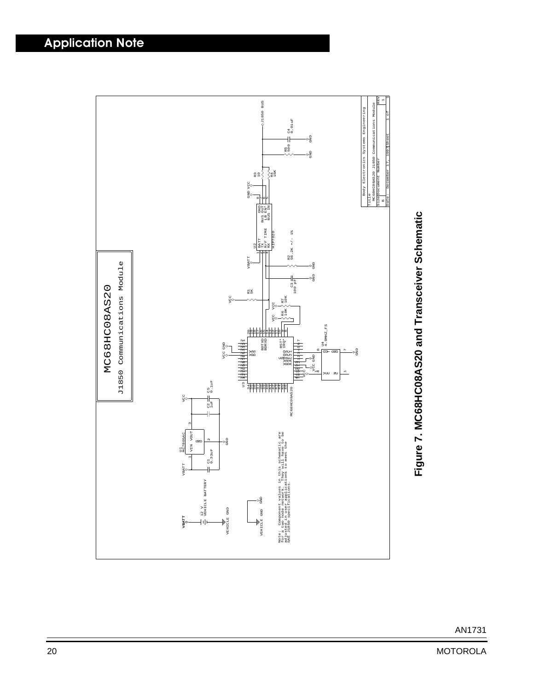## <span id="page-19-0"></span>Application Note

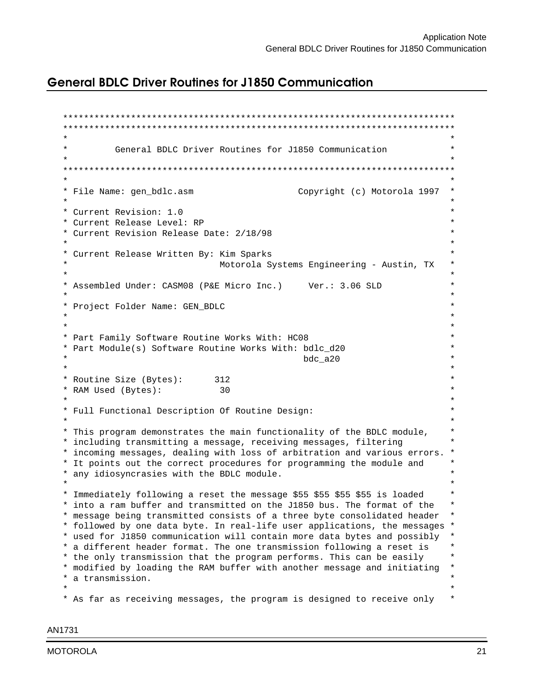#### **General BDLC Driver Routines for J1850 Communication**

```
\ddot{\textbf{r}}General BDLC Driver Routines for J1850 Communication
                                                                    \star* File Name: gen_bdlc.asm
                                        Copyright (c) Motorola 1997 *
* Current Revision: 1.0
* Current Release Level: RP
* Current Revision Release Date: 2/18/98
* Current Release Written By: Kim Sparks
                           Motorola Systems Engineering - Austin, TX
* Assembled Under: CASM08 (P&E Micro Inc.) Ver.: 3.06 SLD
* Project Folder Name: GEN_BDLC
* Part Family Software Routine Works With: HC08
* Part Module(s) Software Routine Works With: bdlc_d20
                                          bdc a20
* Routine Size (Bytes):
                         312
* RAM Used (Bytes):
                          30* Full Functional Description Of Routine Design:
* This program demonstrates the main functionality of the BDLC module,
* including transmitting a message, receiving messages, filtering
* incoming messages, dealing with loss of arbitration and various errors.
* It points out the correct procedures for programming the module and
* any idiosyncrasies with the BDLC module.
* Immediately following a reset the message $55 $55 $55 $55 is loaded
* into a ram buffer and transmitted on the J1850 bus. The format of the
* message being transmitted consists of a three byte consolidated header
* followed by one data byte. In real-life user applications, the messages *
* used for J1850 communication will contain more data bytes and possibly
* a different header format. The one transmission following a reset is
* the only transmission that the program performs. This can be easily
* modified by loading the RAM buffer with another message and initiating *
* a transmission.
* As far as receiving messages, the program is designed to receive only
```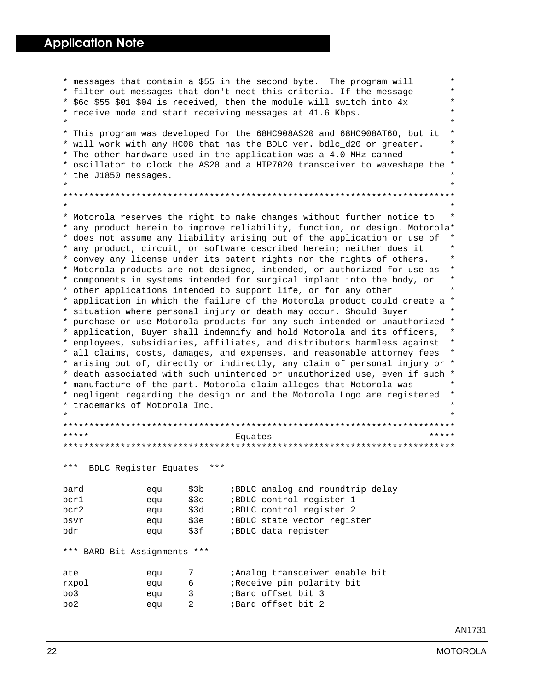```
* messages that contain a $55 in the second byte. The program will *
* filter out messages that don't meet this criteria. If the message *
* $6c $55 $01 $04 is received, then the module will switch into 4x *
* receive mode and start receiving messages at 41.6 Kbps. *
\star \star* This program was developed for the 68HC908AS20 and 68HC908AT60, but it *
* will work with any HC08 that has the BDLC ver. bdlc_d20 or greater. *
* The other hardware used in the application was a 4.0 MHz canned *
* oscillator to clock the AS20 and a HIP7020 transceiver to waveshape the *
* the J1850 messages. *
\star \star***************************************************************************
\star \star* Motorola reserves the right to make changes without further notice to *
* any product herein to improve reliability, function, or design. Motorola*
* does not assume any liability arising out of the application or use of *
* any product, circuit, or software described herein; neither does it *
* convey any license under its patent rights nor the rights of others. *
* Motorola products are not designed, intended, or authorized for use as *
* components in systems intended for surgical implant into the body, or *
* other applications intended to support life, or for any other *
* application in which the failure of the Motorola product could create a *
* situation where personal injury or death may occur. Should Buyer *
* purchase or use Motorola products for any such intended or unauthorized *
* application, Buyer shall indemnify and hold Motorola and its officers, *
* employees, subsidiaries, affiliates, and distributors harmless against *
* all claims, costs, damages, and expenses, and reasonable attorney fees *
* arising out of, directly or indirectly, any claim of personal injury or *
* death associated with such unintended or unauthorized use, even if such *
* manufacture of the part. Motorola claim alleges that Motorola was *
* negligent regarding the design or and the Motorola Logo are registered *
* trademarks of Motorola Inc. *
\star \star***************************************************************************
***** **** Equates Exercises ***** ***** Exercises
***************************************************************************
*** BDLC Register Equates ***
bard equ $3b ;BDLC analog and roundtrip delay
bcr1 equ $3c ;BDLC control register 1
bcr2 equ $3d ;BDLC control register 2
bsvr equ $3e ;BDLC state vector register
bdr equ $3f ;BDLC data register
*** BARD Bit Assignments ***
ate equ 7 ;Analog transceiver enable bit
rxpol equ 6 ;Receive pin polarity bit
bo3 equ 3 ;Bard offset bit 3
bo2 equ 2 ;Bard offset bit 2
```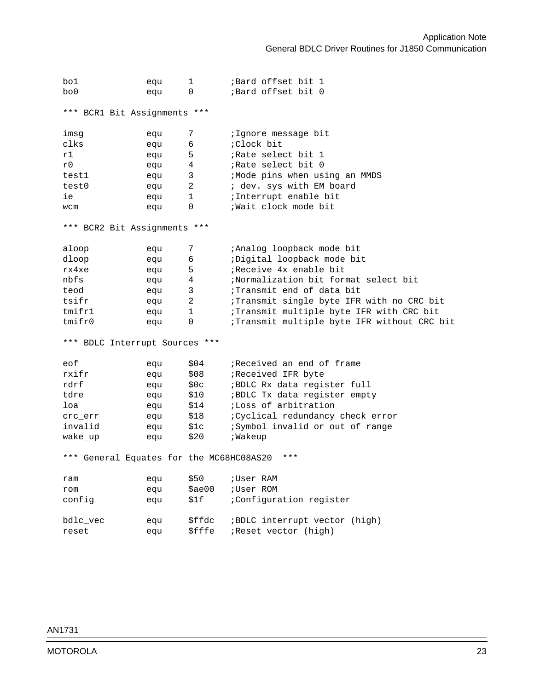bo1 equ 1 ;Bard offset bit 1 bo0 equ 0 ;Bard offset bit 0 \*\*\* BCR1 Bit Assignments \*\*\* imsg equ 7 ; Ignore message bit clks equ 6 ;Clock bit r1 equ 5 ;Rate select bit 1 r0 equ 4 ;Rate select bit 0 test1 equ 3 ; Mode pins when using an MMDS test0 equ 2 ; dev. sys with EM board ie equecal interrupt enable bit wcm equ 0 ;Wait clock mode bit \*\*\* BCR2 Bit Assignments \*\*\* aloop equ 7 *iAnalog loopback mode bit* dloop equ 6 *;Digital loopback mode bit* rx4xe equ 5 ;Receive 4x enable bit nbfs equ 4 ;Normalization bit format select bit teod equ 3 ;Transmit end of data bit tsifr equ 2 ;Transmit single byte IFR with no CRC bit tmifr1 equ 1 ;Transmit multiple byte IFR with CRC bit tmifr0 equ 0 ;Transmit multiple byte IFR without CRC bit \*\*\* BDLC Interrupt Sources \*\*\* eof equ  $$04$  ; Received an end of frame rxifr equ \$08 ;Received IFR byte rdrf equ \$0c ;BDLC Rx data register full tdre equ \$10 ;BDLC Tx data register empty loa equ \$14 ;Loss of arbitration crc\_err equ \$18 ;Cyclical redundancy check error invalid equ \$1c ; Symbol invalid or out of range wake up bequelled to the same of the same wakeup \*\*\* General Equates for the MC68HC08AS20 \*\*\* ram equ \$50 ;User RAM rom equ \$ae00 ;User ROM config equ \$1f ;Configuration register bdlc\_vec equ \$ffdc ;BDLC interrupt vector (high) reset equ \$fffe ;Reset vector (high)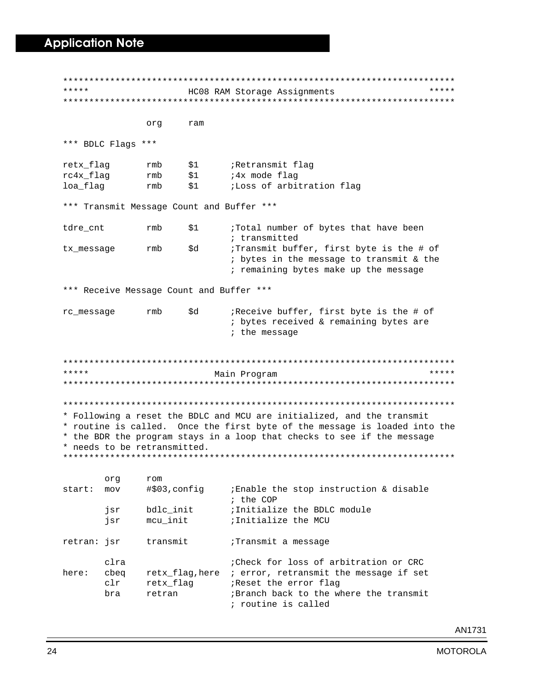# **Application Note**

| *****       |                    |                              |                | HC08 RAM Storage Assignments                                               |
|-------------|--------------------|------------------------------|----------------|----------------------------------------------------------------------------|
|             |                    |                              |                |                                                                            |
|             |                    |                              |                |                                                                            |
|             |                    | org                          | ram            |                                                                            |
|             |                    |                              |                |                                                                            |
|             | *** BDLC Flags *** |                              |                |                                                                            |
|             |                    |                              |                |                                                                            |
| retx_flag   |                    | rmb                          | \$1            | ;Retransmit flag                                                           |
| $rc4x_f1ag$ |                    | rmb                          | \$1            | :4x mode flag                                                              |
| loa_flag    |                    | rmb                          | \$1            | ;Loss of arbitration flag                                                  |
|             |                    |                              |                |                                                                            |
|             |                    |                              |                | *** Transmit Message Count and Buffer ***                                  |
|             |                    |                              |                |                                                                            |
| tdre_cnt    |                    | rmb                          | \$1            | ; Total number of bytes that have been<br>; transmitted                    |
|             |                    |                              | \$d            | ;Transmit buffer, first byte is the # of                                   |
| tx_message  |                    | rmb                          |                |                                                                            |
|             |                    |                              |                | ; bytes in the message to transmit & the                                   |
|             |                    |                              |                | ; remaining bytes make up the message                                      |
|             |                    |                              |                | *** Receive Message Count and Buffer ***                                   |
|             |                    |                              |                |                                                                            |
| rc_message  |                    | rmb                          | \$d            | ;Receive buffer, first byte is the # of                                    |
|             |                    |                              |                | ; bytes received & remaining bytes are                                     |
|             |                    |                              |                |                                                                            |
|             |                    |                              |                | ; the message                                                              |
|             |                    |                              |                |                                                                            |
|             |                    |                              |                |                                                                            |
| *****       |                    |                              |                | *****<br>Main Program                                                      |
|             |                    |                              |                |                                                                            |
|             |                    |                              |                |                                                                            |
|             |                    |                              |                |                                                                            |
|             |                    |                              |                | * Following a reset the BDLC and MCU are initialized, and the transmit     |
|             |                    |                              |                | * routine is called. Once the first byte of the message is loaded into the |
|             |                    |                              |                | * the BDR the program stays in a loop that checks to see if the message    |
|             |                    | * needs to be retransmitted. |                |                                                                            |
|             |                    |                              |                |                                                                            |
|             |                    |                              |                |                                                                            |
|             | org                | rom                          |                |                                                                            |
| start:      | mov                | #\$03,config                 |                | :Enable the stop instruction & disable                                     |
|             |                    |                              |                | ; the COP                                                                  |
|             | jsr                | bdlc_init                    |                | ;Initialize the BDLC module                                                |
|             | jsr                | mcu_init                     |                | ;Initialize the MCU                                                        |
|             |                    |                              |                |                                                                            |
| retran: jsr |                    | transmit                     |                | ;Transmit a message                                                        |
|             |                    |                              |                |                                                                            |
|             | clra               |                              |                | :Check for loss of arbitration or CRC                                      |
| here:       | cbea               |                              | retx_flag,here | ; error, retransmit the message if set                                     |
|             | clr                | retx_flag                    |                | Reset the error flag                                                       |
|             | bra                | retran                       |                | Branch back to the where the transmit                                      |
|             |                    |                              |                | ; routine is called                                                        |
|             |                    |                              |                |                                                                            |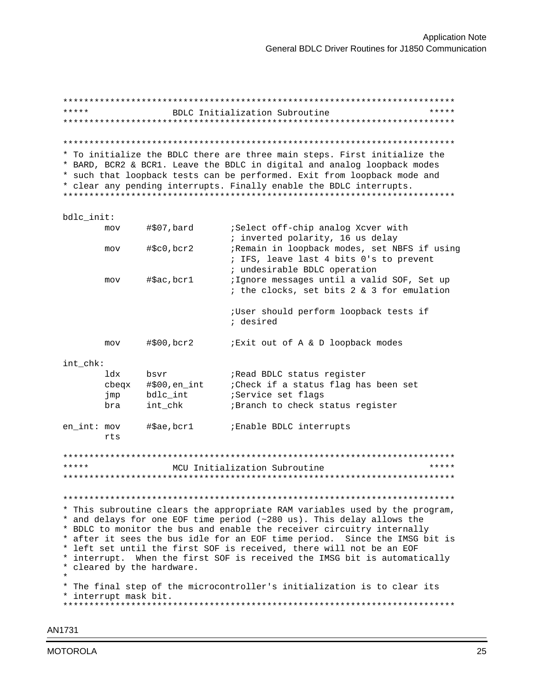$***$  \* \* \*  $***$  \* \* \* BDLC Initialization Subroutine \* To initialize the BDLC there are three main steps. First initialize the \* BARD, BCR2 & BCR1. Leave the BDLC in digital and analog loopback modes \* such that loopback tests can be performed. Exit from loopback mode and \* clear any pending interrupts. Finally enable the BDLC interrupts. bdlc init:  $m \cap V$ #\$07,bard ;Select off-chip analog Xcver with ; inverted polarity, 16 us delay #\$c0,bcr2 ;Remain in loopback modes, set NBFS if using  $m$ ov ; IFS, leave last 4 bits 0's to prevent ; undesirable BDLC operation #\$ac,bcr1 ; Ignore messages until a valid SOF, Set up  $m<sub>O</sub>$ ; the clocks, set bits 2 & 3 for emulation ;User should perform loopback tests if ; desired *i* Exit out of A & D loopback modes mov #\$00,bcr2 int chk: ; Read BDLC status register ldx bsvr cbeqx #\$00, en\_int : Check if a status flag has been set bdlc int *Service* set flags jmp ;Branch to check status register hra int\_chk en\_int: mov ;Enable BDLC interrupts #\$ae,bcr1 rts \*\*\*\*\* MCU Initialization Subroutine \* This subroutine clears the appropriate RAM variables used by the program, \* and delays for one EOF time period (~280 us). This delay allows the \* BDLC to monitor the bus and enable the receiver circuitry internally \* after it sees the bus idle for an EOF time period. Since the IMSG bit is \* left set until the first SOF is received, there will not be an EOF \* interrupt. When the first SOF is received the IMSG bit is automatically \* cleared by the hardware. \* The final step of the microcontroller's initialization is to clear its \* interrupt mask bit. 

#### AN1731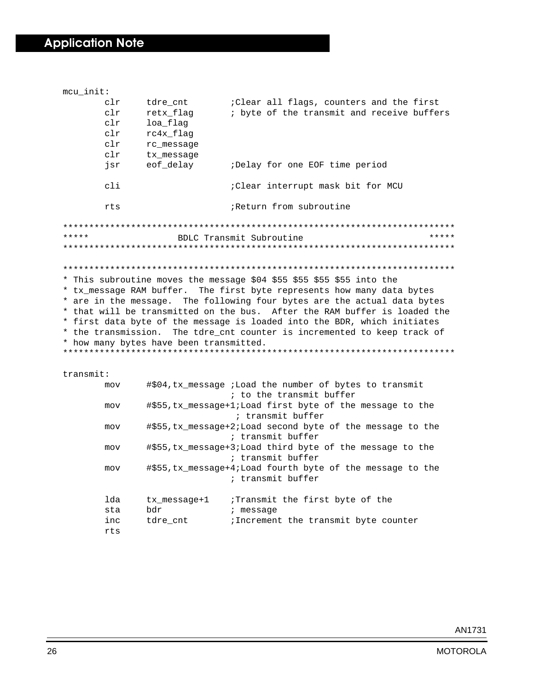```
mcu init:
             tdre cnt
                          ; Clear all flags, counters and the first
      clr
      clrretx flag
                          ; byte of the transmit and receive buffers
      clrloa_flag
      clrrc4x_flag
      clrrc_message
      clrtx message
      jsr
             eof delay
                          ;Delay for one EOF time period
      cli; Clear interrupt mask bit for MCU
                          ;Return from subroutine
      rts
*****
                  BDLC Transmit Subroutine
                                                          *****
* This subroutine moves the message $04 $55 $55 $55 $55 into the
* tx_message RAM buffer. The first byte represents how many data bytes
* are in the message. The following four bytes are the actual data bytes
* that will be transmitted on the bus. After the RAM buffer is loaded the
* first data byte of the message is loaded into the BDR, which initiates
* the transmission. The tdre_cnt counter is incremented to keep track of
* how many bytes have been transmitted.
transmit:
             #$04, tx_message ; Load the number of bytes to transmit
      mov
                          ; to the transmit buffer
             #$55, tx_message+1; Load first byte of the message to the
      mov
                           ; transmit buffer
             #$55, tx_message+2; Load second byte of the message to the
      mov
                          ; transmit buffer
             #$55, tx_message+3; Load third byte of the message to the
      mov
                          ; transmit buffer
             #$55, tx_message+4; Load fourth byte of the message to the
      mov
                          ; transmit buffer
      lda
                          ;Transmit the first byte of the
             tx message+1
             bdr
      sta
                          ; message
             tdre_cnt
                          ; Increment the transmit byte counter
      inc
      rts
```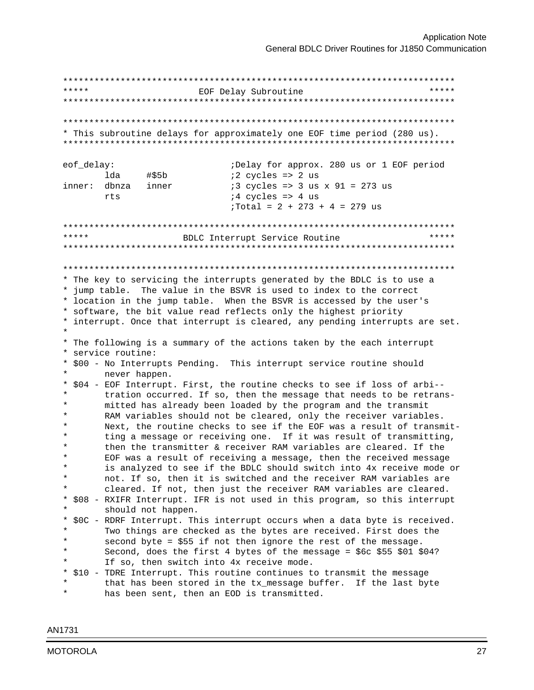\*\*\*\*\* EOF Delay Subroutine  $***$  \* \* \* \* This subroutine delays for approximately one EOF time period (280 us). eof delay: ;Delay for approx. 280 us or 1 EOF period *i* 2 cycles => 2 us lda #\$5b inner: dbnza inner  $:3$  cycles => 3 us x 91 = 273 us *i*4 cycles => 4 us rts  $:Total = 2 + 273 + 4 = 279$ us BDLC Interrupt Service Routine \*\*\*\*\* \* The key to servicing the interrupts generated by the BDLC is to use a \* jump table. The value in the BSVR is used to index to the correct \* location in the jump table. When the BSVR is accessed by the user's \* software, the bit value read reflects only the highest priority \* interrupt. Once that interrupt is cleared, any pending interrupts are set. \* The following is a summary of the actions taken by the each interrupt \* service routine: \* \$00 - No Interrupts Pending. This interrupt service routine should  $\star$ never happen. \* \$04 - EOF Interrupt. First, the routine checks to see if loss of arbi-tration occurred. If so, then the message that needs to be retrans- $\star$ mitted has already been loaded by the program and the transmit  $\star$ RAM variables should not be cleared, only the receiver variables. Next, the routine checks to see if the EOF was a result of transmit- $\star$ ting a message or receiving one. If it was result of transmitting,  $\star$ then the transmitter & receiver RAM variables are cleared. If the  $\star$ EOF was a result of receiving a message, then the received message  $\star$ is analyzed to see if the BDLC should switch into 4x receive mode or not. If so, then it is switched and the receiver RAM variables are  $\star$  $\star$ cleared. If not, then just the receiver RAM variables are cleared. \* \$08 - RXIFR Interrupt. IFR is not used in this program, so this interrupt should not happen. \* \$0C - RDRF Interrupt. This interrupt occurs when a data byte is received.  $\star$ Two things are checked as the bytes are received. First does the  $\star$ second byte = \$55 if not then ignore the rest of the message.  $\star$ Second, does the first 4 bytes of the message =  $$6c $55 $01 $04$ ?  $\star$ If so, then switch into 4x receive mode. \* \$10 - TDRE Interrupt. This routine continues to transmit the message that has been stored in the tx\_message buffer. If the last byte  $\star$ has been sent, then an EOD is transmitted.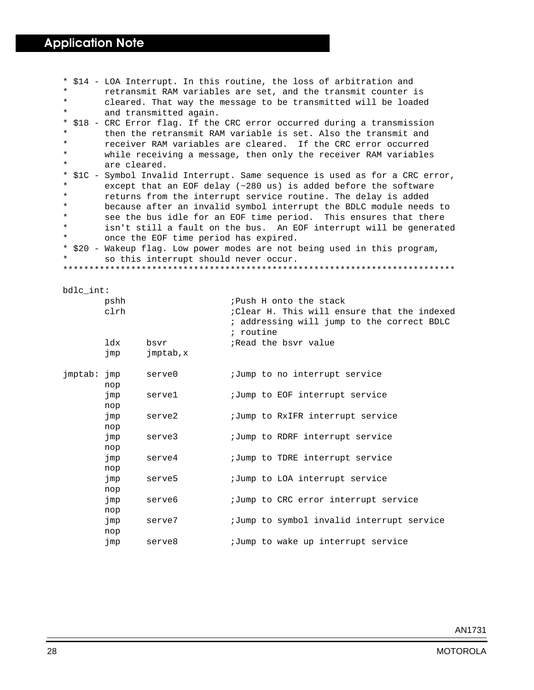\* \$14 - LOA Interrupt. In this routine, the loss of arbitration and \* retransmit RAM variables are set, and the transmit counter is \* cleared. That way the message to be transmitted will be loaded \* and transmitted again. \* \$18 - CRC Error flag. If the CRC error occurred during a transmission then the retransmit RAM variable is set. Also the transmit and \* receiver RAM variables are cleared. If the CRC error occurred \* while receiving a message, then only the receiver RAM variables \* are cleared. \* \$1C - Symbol Invalid Interrupt. Same sequence is used as for a CRC error, \* except that an EOF delay (~280 us) is added before the software \* returns from the interrupt service routine. The delay is added \* because after an invalid symbol interrupt the BDLC module needs to \* see the bus idle for an EOF time period. This ensures that there \* isn't still a fault on the bus. An EOF interrupt will be generated once the EOF time period has expired. \* \$20 - Wakeup flag. Low power modes are not being used in this program, \* so this interrupt should never occur. \*\*\*\*\*\*\*\*\*\*\*\*\*\*\*\*\*\*\*\*\*\*\*\*\*\*\*\*\*\*\*\*\*\*\*\*\*\*\*\*\*\*\*\*\*\*\*\*\*\*\*\*\*\*\*\*\*\*\*\*\*\*\*\*\*\*\*\*\*\*\*\*\*\*\*

bdlc\_int:

|             | pshh<br>clrh |                       | :Push H onto the stack<br>:Clear H. This will ensure that the indexed<br>; addressing will jump to the correct BDLC |
|-------------|--------------|-----------------------|---------------------------------------------------------------------------------------------------------------------|
|             | ldx          | bsvr                  | ; routine<br>Read the bsvr value                                                                                    |
|             | jmp          | $\mathsf{imptab}$ , x |                                                                                                                     |
| jmptab: jmp |              | serve0                | <i>i</i> Jump to no interrupt service                                                                               |
|             | nop          |                       |                                                                                                                     |
|             | jmp          | servel                | ;Jump to EOF interrupt service                                                                                      |
|             | nop          |                       |                                                                                                                     |
|             | jmp          | serve2                | ;Jump to RxIFR interrupt service                                                                                    |
|             | nop          |                       |                                                                                                                     |
|             | jmp          | serve3                | ;Jump to RDRF interrupt service                                                                                     |
|             | nop          |                       |                                                                                                                     |
|             | jmp          | serve4                | ;Jump to TDRE interrupt service                                                                                     |
|             | nop          |                       |                                                                                                                     |
|             | jmp          | serve5                | ;Jump to LOA interrupt service                                                                                      |
|             | nop          |                       |                                                                                                                     |
|             | jmp          | serve6                | ;Jump to CRC error interrupt service                                                                                |
|             | nop          |                       |                                                                                                                     |
|             | jmp          | serve7                | ;Jump to symbol invalid interrupt service                                                                           |
|             | nop          |                       |                                                                                                                     |
|             |              |                       |                                                                                                                     |
|             | jmp          | serve8                | ;Jump to wake up interrupt service                                                                                  |

AN1731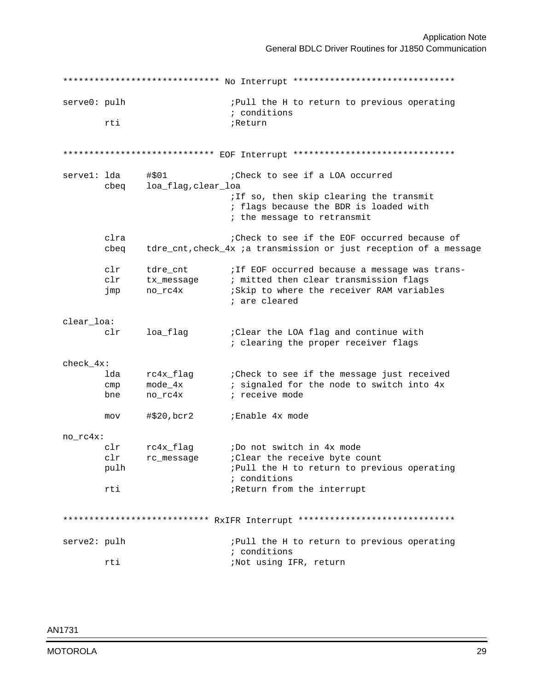**Application Note** General BDLC Driver Routines for J1850 Communication

; Pull the H to return to previous operating serve0: pulh ; conditions rti ;Return \*\*\*\*\*\*\*\*\*\*\*\*\*\*\*\*\*\*\*\*\*\*\*\*\*\*\*\* EOF Interrupt \*\*\*\*\*\*\*\*\*\*\*\*\*\*\*\*\*\*\*\*\*\*\*\*\*\*\*\*\*\*\* servel: lda #\$01 : Check to see if a LOA occurred cbeq loa\_flag, clear\_loa ; If so, then skip clearing the transmit ; flags because the BDR is loaded with ; the message to retransmit : Check to see if the EOF occurred because of clra cbeq tdre\_cnt, check\_4x ia transmission or just reception of a message ; If EOF occurred because a message was transclr tdre cnt  $clr$ tx\_message ; mitted then clear transmission flags ;Skip to where the receiver RAM variables jmp no\_rc4x ; are cleared clear loa:  $clr$ loa flaq : Clear the LOA flag and continue with ; clearing the proper receiver flags check 4x: Check to see if the message just received lda rc4x\_flag mode 4x ; signaled for the node to switch into 4x  $cmp$ bne no rc4x ; receive mode #\$20,bcr2 ;Enable 4x mode mov no rc4x: ;Do not switch in 4x mode rc4x flag clr  $clr$ rc\_message :Clear the receive byte count ; Pull the H to return to previous operating pulh ; conditions rti ;Return from the interrupt \*\*\*\*\*\*\*\*\*\*\*\*\*\*\*\*\*\*\*\*\*\*\*\*\*\*\* RxIFR Interrupt \*\*\*\*\*\*\*\*\*\*\*\*\*\*\*\*\*\*\*\*\*\*\*\*\*\*\*\*\*\* serve2: pulh ; Pull the H to return to previous operating ; conditions rti ;Not using IFR, return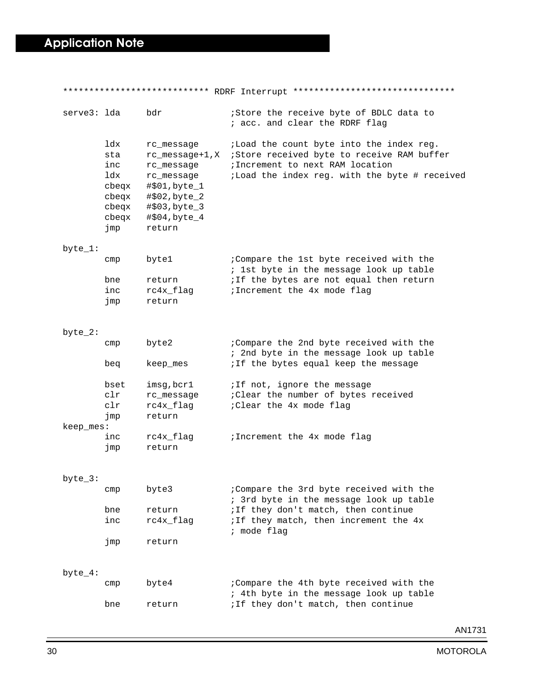# Application Note

| *************************** RDRF Interrupt ****************************** |                                                                     |                                                                                                                                                    |                                                                                                                                                                            |  |  |  |
|---------------------------------------------------------------------------|---------------------------------------------------------------------|----------------------------------------------------------------------------------------------------------------------------------------------------|----------------------------------------------------------------------------------------------------------------------------------------------------------------------------|--|--|--|
| serve3: lda                                                               |                                                                     | bdr                                                                                                                                                | Store the receive byte of BDLC data to<br>; acc. and clear the RDRF flag                                                                                                   |  |  |  |
|                                                                           | ldx<br>sta<br>inc<br>ldx<br>cbeqx<br>cbeqx<br>cbeqx<br>cbeqx<br>jmp | rc_message<br>rc_message+1,X<br>rc_message<br>rc_message<br>$\sharp$ \$01, byte_1<br>$\#$ \$02, byte_2<br>#\$03, byte_3<br>#\$04, byte_4<br>return | :Load the count byte into the index reg.<br>Store received byte to receive RAM buffer<br>; Increment to next RAM location<br>;Load the index reg. with the byte # received |  |  |  |
| $byte_1$ :                                                                |                                                                     |                                                                                                                                                    |                                                                                                                                                                            |  |  |  |
|                                                                           | cmp<br>bne<br>inc<br>jmp                                            | byte1<br>return<br>$rc4x_flag$<br>return                                                                                                           | :Compare the 1st byte received with the<br>; 1st byte in the message look up table<br>iIf the bytes are not equal then return<br>; Increment the 4x mode flag              |  |  |  |
| byte_2:                                                                   |                                                                     |                                                                                                                                                    |                                                                                                                                                                            |  |  |  |
|                                                                           | cmp<br>beq                                                          | byte2<br>keep_mes                                                                                                                                  | :Compare the 2nd byte received with the<br>; 2nd byte in the message look up table<br>i If the bytes equal keep the message                                                |  |  |  |
|                                                                           |                                                                     |                                                                                                                                                    |                                                                                                                                                                            |  |  |  |
|                                                                           | bset<br>clr<br>clr<br>jmp                                           | imsg,bcr1<br>rc_message<br>rc4x_flag<br>return                                                                                                     | i If not, ignore the message<br>:Clear the number of bytes received<br>:Clear the 4x mode flag                                                                             |  |  |  |
| keep_mes:                                                                 | inc                                                                 | rc4x_flag                                                                                                                                          | ; Increment the 4x mode flag                                                                                                                                               |  |  |  |
|                                                                           | jmp                                                                 | return                                                                                                                                             |                                                                                                                                                                            |  |  |  |
| $byte_3:$                                                                 |                                                                     |                                                                                                                                                    |                                                                                                                                                                            |  |  |  |
|                                                                           | cmp                                                                 | byte3                                                                                                                                              | ¿Compare the 3rd byte received with the<br>; 3rd byte in the message look up table                                                                                         |  |  |  |
|                                                                           | bne<br>inc                                                          | return<br>$rc4x_f1ag$                                                                                                                              | iIf they don't match, then continue<br>iIf they match, then increment the 4x<br>; mode flag                                                                                |  |  |  |
|                                                                           | jmp                                                                 | return                                                                                                                                             |                                                                                                                                                                            |  |  |  |
| $byte_4:$                                                                 |                                                                     |                                                                                                                                                    |                                                                                                                                                                            |  |  |  |
|                                                                           | cmp                                                                 | byte4                                                                                                                                              | :Compare the 4th byte received with the<br>; 4th byte in the message look up table                                                                                         |  |  |  |
|                                                                           | bne                                                                 | return                                                                                                                                             | iIf they don't match, then continue                                                                                                                                        |  |  |  |

#### AN1731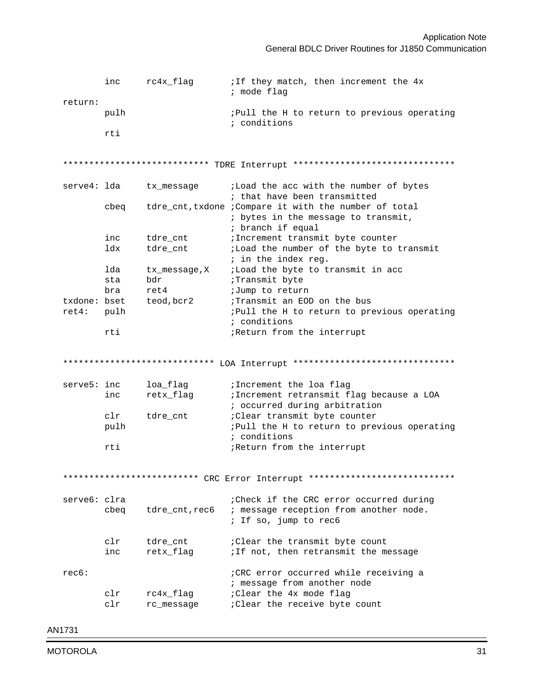**Application Note** General BDLC Driver Routines for J1850 Communication

inc rc4x\_flag ; If they match, then increment the 4x ; mode flag return: ; Pull the H to return to previous operating pulh ; conditions rti \*\*\*\*\*\*\*\*\*\*\*\*\*\*\*\*\*\*\*\*\*\*\*\*\*\*\* TDRE Interrupt \*\*\*\*\*\*\*\*\*\*\*\*\*\*\*\*\*\*\*\*\*\*\*\*\*\*\*\*\*\*\* serve4: lda tx message ;Load the acc with the number of bytes ; that have been transmitted cbeq tdre cnt, txdone ; Compare it with the number of total ; bytes in the message to transmit, ; branch if equal ; Increment transmit byte counter  $inc$ tdre\_cnt ldx tdre\_cnt ;Load the number of the byte to transmit ; in the index reg. lda bdr sta ;Transmit byte ret4 ;Jump to return bra txdone: bset teod, bcr2 ;Transmit an EOD on the bus ret4: pulh ; Pull the H to return to previous operating ; conditions rti ;Return from the interrupt \*\*\*\*\*\*\*\*\*\*\*\*\*\*\*\*\*\*\*\*\*\*\*\*\*\*\*\* LOA Interrupt \*\*\*\*\*\*\*\*\*\*\*\*\*\*\*\*\*\*\*\*\*\*\*\*\*\*\*\*\*\*\* serve5: inc loa\_flag ; Increment the loa flag retx\_flag ; Increment retransmit flag because a LOA inc ; occurred during arbitration  $clr$ tdre cnt :Clear transmit byte counter ; Pull the H to return to previous operating pulh ; conditions ;Return from the interrupt rti \*\*\*\*\*\*\*\*\*\*\*\*\*\*\*\*\*\*\*\*\*\*\*\*\*\* CRC Error Interrupt \*\*\*\*\*\*\*\*\*\*\*\*\*\*\*\*\*\*\*\*\*\*\*\*\*\*\*\* serve6: clra : Check if the CRC error occurred during cbeq tdre cnt, rec6 ; message reception from another node. ; If so, jump to rec6 clr tdre\_cnt :Clear the transmit byte count retx\_flag ; If not, then retransmit the message inc : CRC error occurred while receiving a  $rec6:$ ; message from another node :Clear the 4x mode flag  $clr$ rc4x\_flag clr rc\_message :Clear the receive byte count

AN1731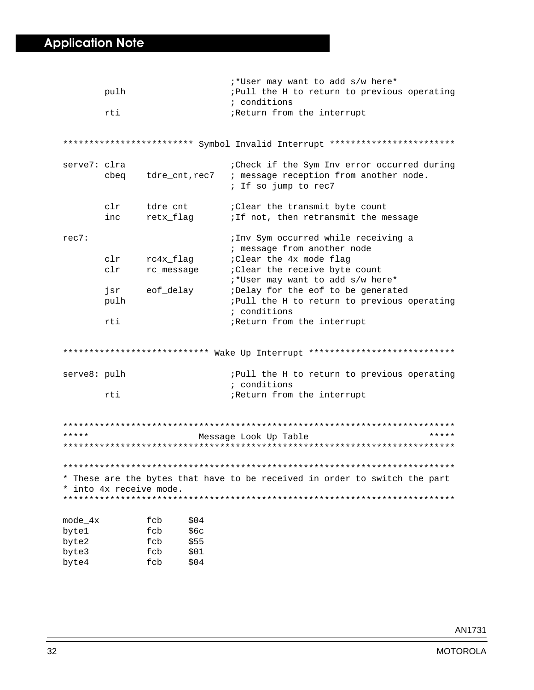**Application Note** 

|              |                         |                |      | ;*User may want to add s/w here*                                           |
|--------------|-------------------------|----------------|------|----------------------------------------------------------------------------|
|              | pulh                    |                |      | ; Pull the H to return to previous operating                               |
|              |                         |                |      | ; conditions                                                               |
|              | rti                     |                |      | ;Return from the interrupt                                                 |
|              |                         |                |      |                                                                            |
|              |                         |                |      |                                                                            |
|              |                         |                |      | *********************** Symbol Invalid Interrupt ************************  |
| serve7: clra |                         |                |      | : Check if the Sym Inv error occurred during                               |
|              | cbea                    | tdre cnt, rec7 |      | ; message reception from another node.                                     |
|              |                         |                |      | ; If so jump to rec7                                                       |
|              |                         |                |      |                                                                            |
|              | clr                     | tdre_cnt       |      | :Clear the transmit byte count                                             |
|              | inc                     | retx_flag      |      | ; If not, then retransmit the message                                      |
|              |                         |                |      |                                                                            |
| rec7:        |                         |                |      | :Inv Sym occurred while receiving a                                        |
|              |                         |                |      | ; message from another node                                                |
|              | c1r                     | rc4x_flag      |      | ; Clear the 4x mode flag                                                   |
|              | clr                     | rc message     |      | ; Clear the receive byte count                                             |
|              |                         |                |      | ;*User may want to add s/w here*                                           |
|              | jsr                     | eof_delay      |      | ;Delay for the eof to be generated                                         |
|              | pulh                    |                |      | ; Pull the H to return to previous operating                               |
|              |                         |                |      | ; conditions                                                               |
|              | rti                     |                |      | ;Return from the interrupt                                                 |
|              |                         |                |      |                                                                            |
|              |                         |                |      | *************************** Wake Up Interrupt **************************** |
|              |                         |                |      |                                                                            |
| serve8: pulh |                         |                |      | ; Pull the H to return to previous operating                               |
|              |                         |                |      | ; conditions                                                               |
|              | rti                     |                |      | ;Return from the interrupt                                                 |
|              |                         |                |      |                                                                            |
|              |                         |                |      |                                                                            |
|              |                         |                |      |                                                                            |
| *****        |                         |                |      | *****<br>Message Look Up Table                                             |
|              |                         |                |      |                                                                            |
|              |                         |                |      |                                                                            |
|              |                         |                |      | * These are the bytes that have to be received in order to switch the part |
|              | * into 4x receive mode. |                |      |                                                                            |
|              |                         |                |      |                                                                            |
|              |                         |                |      |                                                                            |
| $mode_4x$    |                         | fcb            | \$04 |                                                                            |
| byte1        |                         | fcb            | \$6c |                                                                            |
| byte2        |                         | fcb            | \$55 |                                                                            |
| byte3        |                         | fcb            | \$01 |                                                                            |
| byte4        |                         | fcb            | \$04 |                                                                            |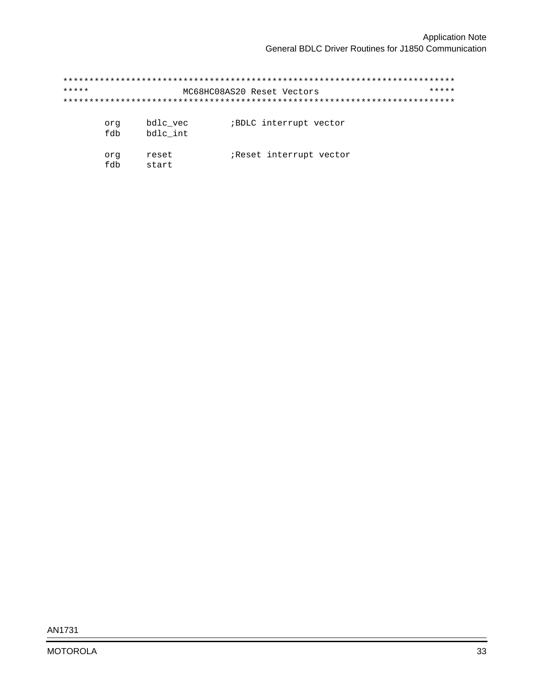| ***** |            |                      | MC68HC08AS20 Reset Vectors   | ***** |  |  |  |  |  |  |
|-------|------------|----------------------|------------------------------|-------|--|--|--|--|--|--|
|       |            |                      |                              |       |  |  |  |  |  |  |
|       | org<br>fdb | bdlc vec<br>bdlc int | <i>BDLC</i> interrupt vector |       |  |  |  |  |  |  |
|       | org<br>fdb | reset<br>start       | Reset interrupt vector       |       |  |  |  |  |  |  |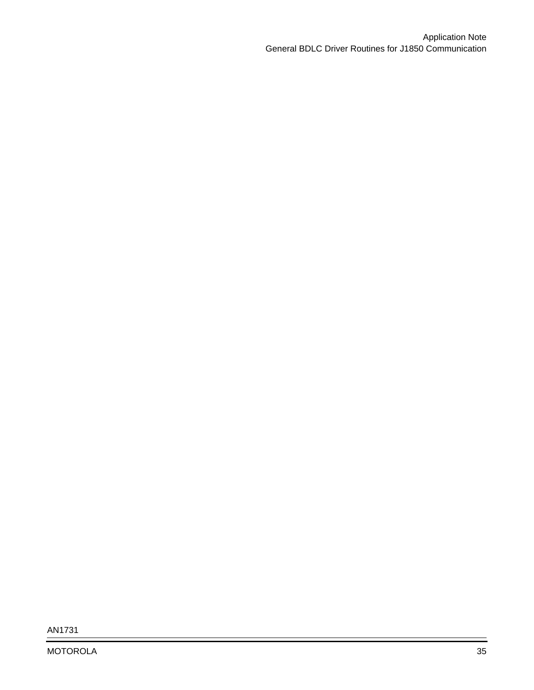AN1731